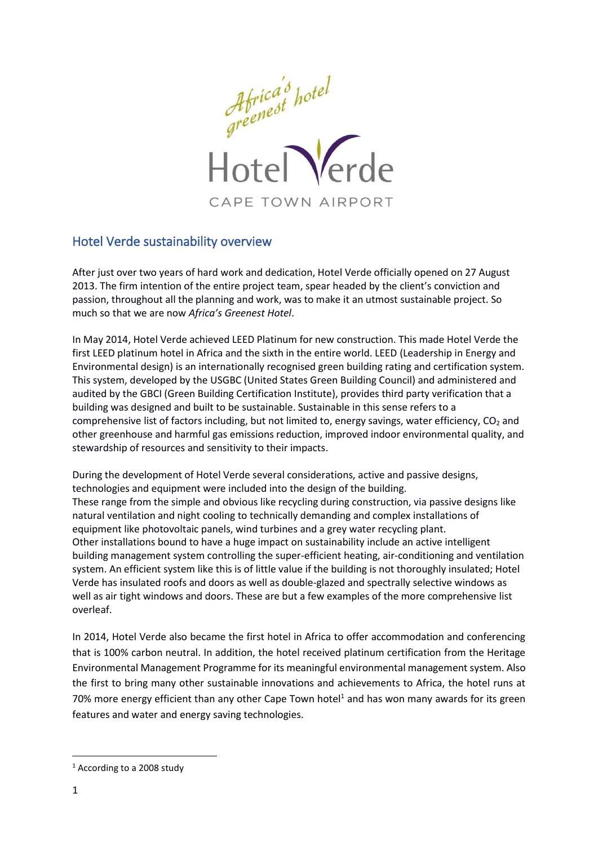

# Hotel Verde sustainability overview

After just over two years of hard work and dedication, Hotel Verde officially opened on 27 August 2013. The firm intention of the entire project team, spear headed by the client's conviction and passion, throughout all the planning and work, was to make it an utmost sustainable project. So much so that we are now *Africa's Greenest Hotel*.

In May 2014, Hotel Verde achieved LEED Platinum for new construction. This made Hotel Verde the first LEED platinum hotel in Africa and the sixth in the entire world. LEED (Leadership in Energy and Environmental design) is an internationally recognised green building rating and certification system. This system, developed by the USGBC (United States Green Building Council) and administered and audited by the GBCI (Green Building Certification Institute), provides third party verification that a building was designed and built to be sustainable. Sustainable in this sense refers to a comprehensive list of factors including, but not limited to, energy savings, water efficiency, CO<sub>2</sub> and other greenhouse and harmful gas emissions reduction, improved indoor environmental quality, and stewardship of resources and sensitivity to their impacts.

During the development of Hotel Verde several considerations, active and passive designs, technologies and equipment were included into the design of the building. These range from the simple and obvious like recycling during construction, via passive designs like natural ventilation and night cooling to technically demanding and complex installations of equipment like photovoltaic panels, wind turbines and a grey water recycling plant. Other installations bound to have a huge impact on sustainability include an active intelligent building management system controlling the super-efficient heating, air-conditioning and ventilation system. An efficient system like this is of little value if the building is not thoroughly insulated; Hotel Verde has insulated roofs and doors as well as double-glazed and spectrally selective windows as well as air tight windows and doors. These are but a few examples of the more comprehensive list overleaf.

In 2014, Hotel Verde also became the first hotel in Africa to offer accommodation and conferencing that is 100% carbon neutral. In addition, the hotel received platinum certification from the Heritage Environmental Management Programme for its meaningful environmental management system. Also the first to bring many other sustainable innovations and achievements to Africa, the hotel runs at 70% more energy efficient than any other Cape Town hotel<sup>1</sup> and has won many awards for its green features and water and energy saving technologies.

<sup>1</sup> According to a 2008 study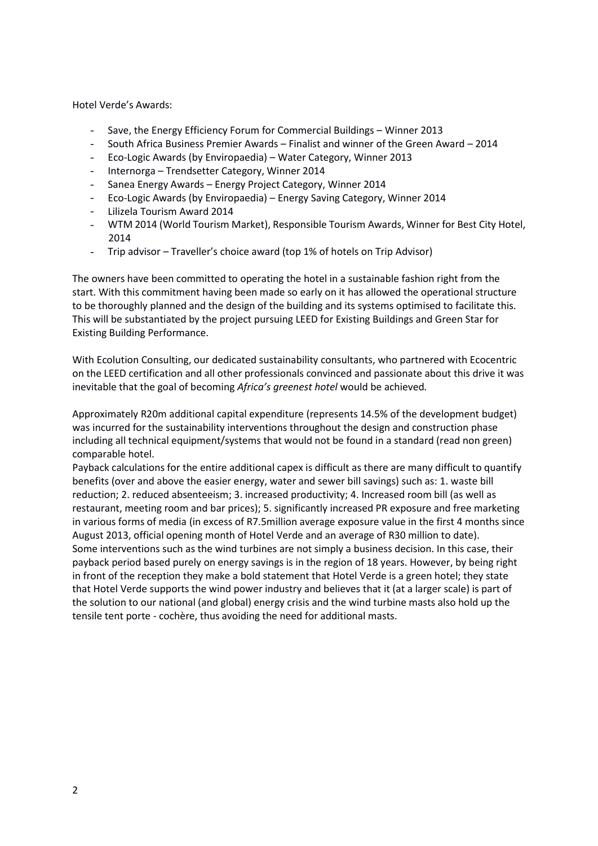Hotel Verde's Awards:

- Save, the Energy Efficiency Forum for Commercial Buildings Winner 2013
- South Africa Business Premier Awards Finalist and winner of the Green Award 2014
- Eco-Logic Awards (by Enviropaedia) Water Category, Winner 2013
- Internorga Trendsetter Category, Winner 2014
- Sanea Energy Awards Energy Project Category, Winner 2014
- Eco-Logic Awards (by Enviropaedia) Energy Saving Category, Winner 2014
- Lilizela Tourism Award 2014
- WTM 2014 (World Tourism Market), Responsible Tourism Awards, Winner for Best City Hotel, 2014
- Trip advisor Traveller's choice award (top 1% of hotels on Trip Advisor)  $\Delta \phi$

The owners have been committed to operating the hotel in a sustainable fashion right from the start. With this commitment having been made so early on it has allowed the operational structure to be thoroughly planned and the design of the building and its systems optimised to facilitate this. This will be substantiated by the project pursuing LEED for Existing Buildings and Green Star for Existing Building Performance.

With Ecolution Consulting, our dedicated sustainability consultants, who partnered with Ecocentric on the LEED certification and all other professionals convinced and passionate about this drive it was inevitable that the goal of becoming *Africa's greenest hotel* would be achieved*.*

Approximately R20m additional capital expenditure (represents 14.5% of the development budget) was incurred for the sustainability interventions throughout the design and construction phase including all technical equipment/systems that would not be found in a standard (read non green) comparable hotel.

Payback calculations for the entire additional capex is difficult as there are many difficult to quantify benefits (over and above the easier energy, water and sewer bill savings) such as: 1. waste bill reduction; 2. reduced absenteeism; 3. increased productivity; 4. Increased room bill (as well as restaurant, meeting room and bar prices); 5. significantly increased PR exposure and free marketing in various forms of media (in excess of R7.5million average exposure value in the first 4 months since August 2013, official opening month of Hotel Verde and an average of R30 million to date). Some interventions such as the wind turbines are not simply a business decision. In this case, their payback period based purely on energy savings is in the region of 18 years. However, by being right in front of the reception they make a bold statement that Hotel Verde is a green hotel; they state that Hotel Verde supports the wind power industry and believes that it (at a larger scale) is part of the solution to our national (and global) energy crisis and the wind turbine masts also hold up the tensile tent porte - cochère, thus avoiding the need for additional masts.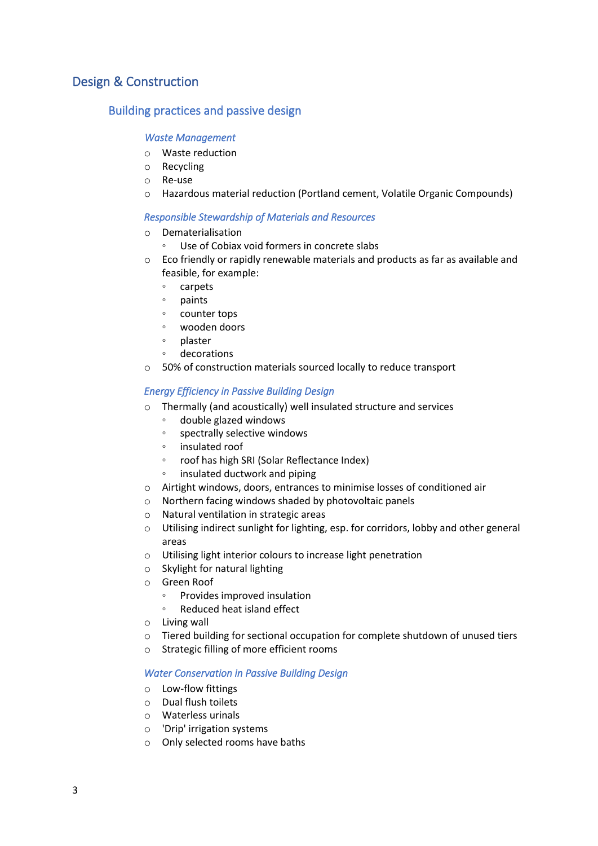# Design & Construction

## Building practices and passive design

## *Waste Management*

- o Waste reduction
- o Recycling
- o Re-use
- o Hazardous material reduction (Portland cement, Volatile Organic Compounds)

## *Responsible Stewardship of Materials and Resources*

- o Dematerialisation
	- Use of Cobiax void formers in concrete slabs
- $\circ$  Eco friendly or rapidly renewable materials and products as far as available and feasible, for example:
	- carpets
	- paints
	- counter tops
	- wooden doors
	- plaster
	- decorations
- o 50% of construction materials sourced locally to reduce transport

## *Energy Efficiency in Passive Building Design*

- o Thermally (and acoustically) well insulated structure and services
	- double glazed windows
	- spectrally selective windows
	- insulated roof
	- roof has high SRI (Solar Reflectance Index)
	- insulated ductwork and piping
- o Airtight windows, doors, entrances to minimise losses of conditioned air
- o Northern facing windows shaded by photovoltaic panels
- o Natural ventilation in strategic areas
- o Utilising indirect sunlight for lighting, esp. for corridors, lobby and other general areas
- o Utilising light interior colours to increase light penetration
- o Skylight for natural lighting
- o Green Roof
	- Provides improved insulation
	- Reduced heat island effect
- o Living wall
- o Tiered building for sectional occupation for complete shutdown of unused tiers
- o Strategic filling of more efficient rooms

## *Water Conservation in Passive Building Design*

- o Low-flow fittings
- o Dual flush toilets
- o Waterless urinals
- o 'Drip' irrigation systems
- o Only selected rooms have baths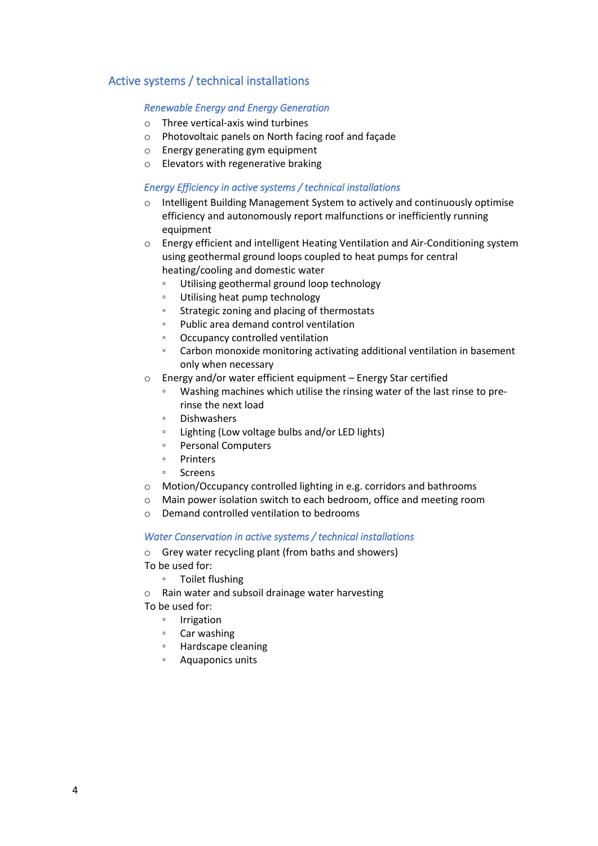# Active systems / technical installations

## *Renewable Energy and Energy Generation*

- o Three vertical-axis wind turbines
- o Photovoltaic panels on North facing roof and façade
- o Energy generating gym equipment
- o Elevators with regenerative braking

## *Energy Efficiency in active systems / technical installations*

- o Intelligent Building Management System to actively and continuously optimise efficiency and autonomously report malfunctions or inefficiently running equipment
- o Energy efficient and intelligent Heating Ventilation and Air-Conditioning system using geothermal ground loops coupled to heat pumps for central heating/cooling and domestic water
	- Utilising geothermal ground loop technology
	- Utilising heat pump technology
	- Strategic zoning and placing of thermostats
	- Public area demand control ventilation
	- Occupancy controlled ventilation
	- Carbon monoxide monitoring activating additional ventilation in basement only when necessary
- o Energy and/or water efficient equipment Energy Star certified
	- Washing machines which utilise the rinsing water of the last rinse to prerinse the next load
	- Dishwashers
	- Lighting (Low voltage bulbs and/or LED lights)
	- Personal Computers
	- Printers
	- Screens
- o Motion/Occupancy controlled lighting in e.g. corridors and bathrooms
- o Main power isolation switch to each bedroom, office and meeting room
- o Demand controlled ventilation to bedrooms

## *Water Conservation in active systems / technical installations*

- o Grey water recycling plant (from baths and showers)
- To be used for:
	- Toilet flushing
- o Rain water and subsoil drainage water harvesting
- To be used for:
	- Irrigation
	- Car washing
	- Hardscape cleaning
	- Aquaponics units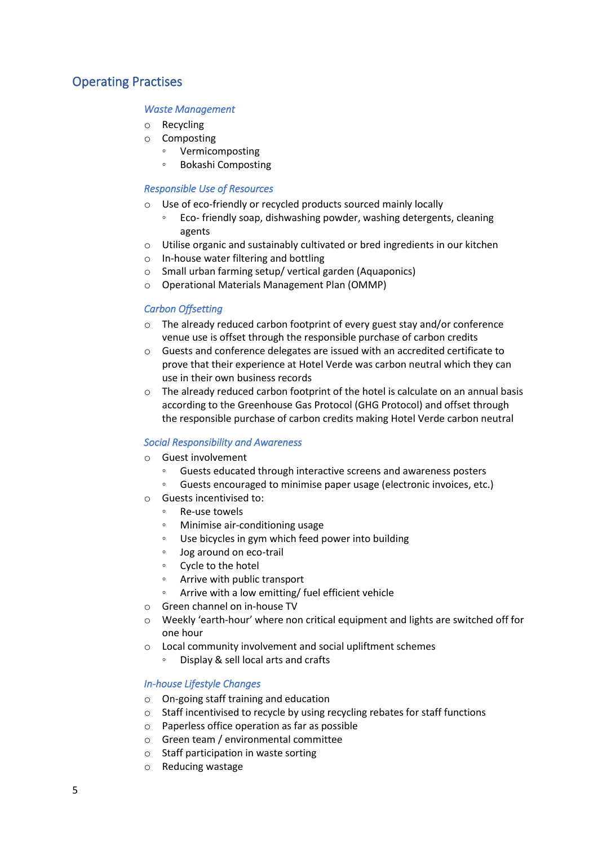# Operating Practises

## *Waste Management*

- o Recycling
- o Composting
	- Vermicomposting
	- Bokashi Composting

## *Responsible Use of Resources*

- o Use of eco-friendly or recycled products sourced mainly locally
	- Eco- friendly soap, dishwashing powder, washing detergents, cleaning agents
- o Utilise organic and sustainably cultivated or bred ingredients in our kitchen
- o In-house water filtering and bottling
- o Small urban farming setup/ vertical garden (Aquaponics)
- o Operational Materials Management Plan (OMMP)

## *Carbon Offsetting*

- o The already reduced carbon footprint of every guest stay and/or conference venue use is offset through the responsible purchase of carbon credits
- o Guests and conference delegates are issued with an accredited certificate to prove that their experience at Hotel Verde was carbon neutral which they can use in their own business records
- $\circ$  The already reduced carbon footprint of the hotel is calculate on an annual basis according to the Greenhouse Gas Protocol (GHG Protocol) and offset through the responsible purchase of carbon credits making Hotel Verde carbon neutral

## *[Social Responsibility and Awareness](#page-16-0)*

- o Guest involvement
	- Guests educated through interactive screens and awareness posters
	- Guests encouraged to minimise paper usage (electronic invoices, etc.)
- o Guests incentivised to:
	- Re-use towels
	- Minimise air-conditioning usage
	- Use bicycles in gym which feed power into building
	- Jog around on eco-trail
	- Cycle to the hotel
	- Arrive with public transport
	- Arrive with a low emitting/ fuel efficient vehicle
- o Green channel on in-house TV
- o Weekly 'earth-hour' where non critical equipment and lights are switched off for one hour
- o Local community involvement and social upliftment schemes
	- Display & sell local arts and crafts

## *[In-house Lifestyle Changes](#page-17-0)*

- o On-going staff training and education
- o Staff incentivised to recycle by using recycling rebates for staff functions
- o Paperless office operation as far as possible
- o Green team / environmental committee
- o Staff participation in waste sorting
- o Reducing wastage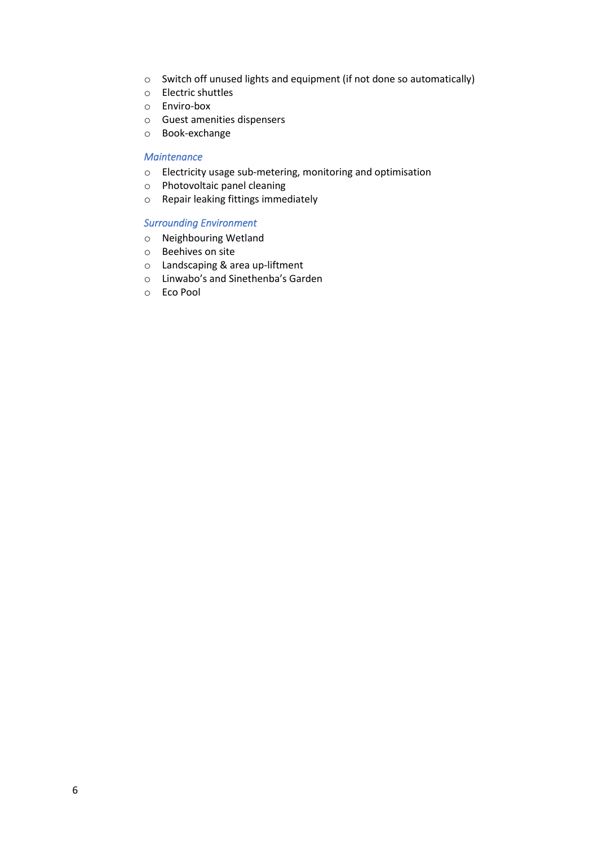- o Switch off unused lights and equipment (if not done so automatically)
- o Electric shuttles
- o Enviro-box
- o Guest amenities dispensers
- o Book-exchange

## *[Maintenance](#page-18-0)*

- o Electricity usage sub-metering, monitoring and optimisation
- o Photovoltaic panel cleaning
- o Repair leaking fittings immediately

## *Surrounding Environment*

- o Neighbouring Wetland
- o Beehives on site
- o Landscaping & area up-liftment
- o Linwabo's and Sinethenba's Garden
- o Eco Pool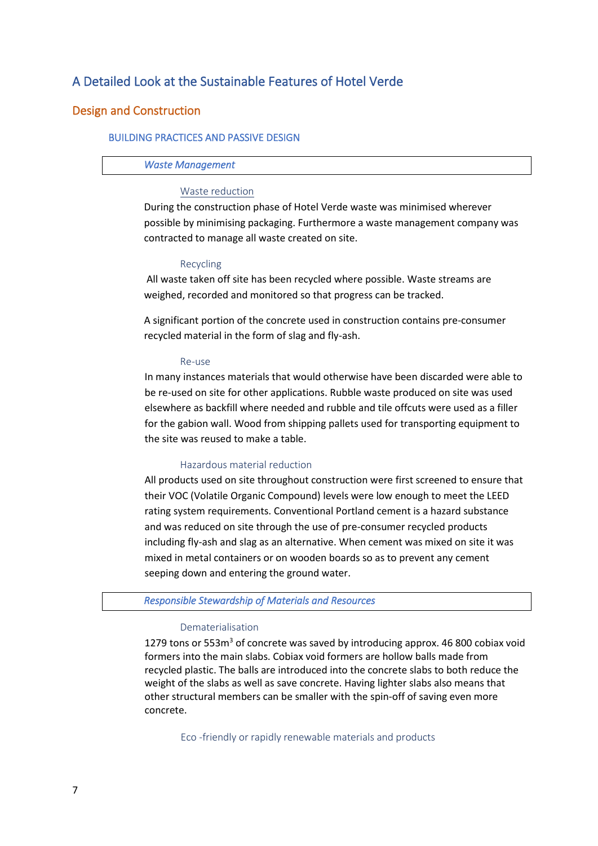# A Detailed Look at the Sustainable Features of Hotel Verde

## Design and Construction

## BUILDING PRACTICES AND PASSIVE DESIGN

### *Waste Management*

## Waste reduction

During the construction phase of Hotel Verde waste was minimised wherever possible by minimising packaging. Furthermore a waste management company was contracted to manage all waste created on site.

#### Recycling

All waste taken off site has been recycled where possible. Waste streams are weighed, recorded and monitored so that progress can be tracked.

A significant portion of the concrete used in construction contains pre-consumer recycled material in the form of slag and fly-ash.

#### Re-use

In many instances materials that would otherwise have been discarded were able to be re-used on site for other applications. Rubble waste produced on site was used elsewhere as backfill where needed and rubble and tile offcuts were used as a filler for the gabion wall. Wood from shipping pallets used for transporting equipment to the site was reused to make a table.

### Hazardous material reduction

All products used on site throughout construction were first screened to ensure that their VOC (Volatile Organic Compound) levels were low enough to meet the LEED rating system requirements. Conventional Portland cement is a hazard substance and was reduced on site through the use of pre-consumer recycled products including fly-ash and slag as an alternative. When cement was mixed on site it was mixed in metal containers or on wooden boards so as to prevent any cement seeping down and entering the ground water.

## *Responsible Stewardship of Materials and Resources*

#### Dematerialisation

1279 tons or  $553m<sup>3</sup>$  of concrete was saved by introducing approx. 46 800 cobiax void formers into the main slabs. Cobiax void formers are hollow balls made from recycled plastic. The balls are introduced into the concrete slabs to both reduce the weight of the slabs as well as save concrete. Having lighter slabs also means that other structural members can be smaller with the spin-off of saving even more concrete.

Eco -friendly or rapidly renewable materials and products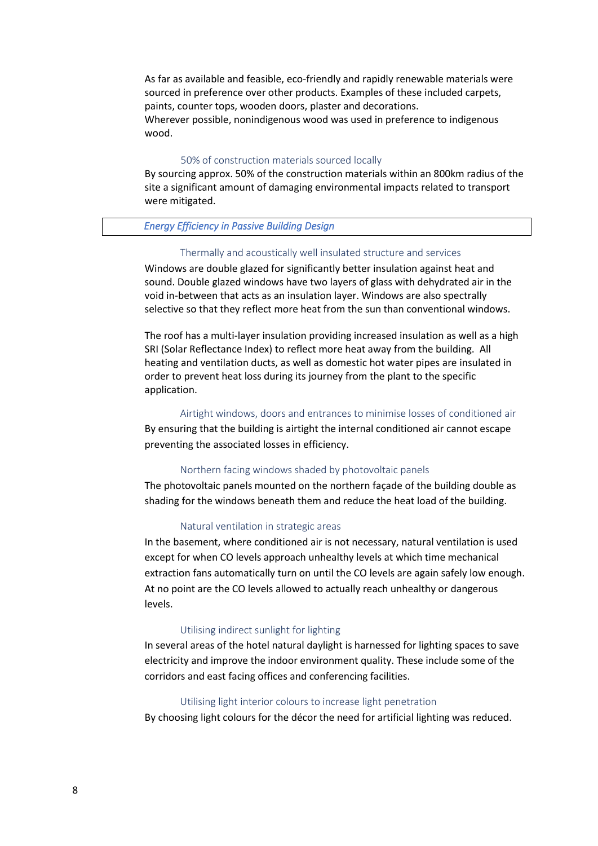As far as available and feasible, eco-friendly and rapidly renewable materials were sourced in preference over other products. Examples of these included carpets, paints, counter tops, wooden doors, plaster and decorations. Wherever possible, nonindigenous wood was used in preference to indigenous wood.

### 50% of construction materials sourced locally

By sourcing approx. 50% of the construction materials within an 800km radius of the site a significant amount of damaging environmental impacts related to transport were mitigated.

## *Energy Efficiency in Passive Building Design*

#### Thermally and acoustically well insulated structure and services

Windows are double glazed for significantly better insulation against heat and sound. Double glazed windows have two layers of glass with dehydrated air in the void in-between that acts as an insulation layer. Windows are also spectrally selective so that they reflect more heat from the sun than conventional windows.

The roof has a multi-layer insulation providing increased insulation as well as a high SRI (Solar Reflectance Index) to reflect more heat away from the building. All heating and ventilation ducts, as well as domestic hot water pipes are insulated in order to prevent heat loss during its journey from the plant to the specific application.

## Airtight windows, doors and entrances to minimise losses of conditioned air

By ensuring that the building is airtight the internal conditioned air cannot escape preventing the associated losses in efficiency.

#### Northern facing windows shaded by photovoltaic panels

The photovoltaic panels mounted on the northern façade of the building double as shading for the windows beneath them and reduce the heat load of the building.

#### Natural ventilation in strategic areas

In the basement, where conditioned air is not necessary, natural ventilation is used except for when CO levels approach unhealthy levels at which time mechanical extraction fans automatically turn on until the CO levels are again safely low enough. At no point are the CO levels allowed to actually reach unhealthy or dangerous levels.

#### Utilising indirect sunlight for lighting

In several areas of the hotel natural daylight is harnessed for lighting spaces to save electricity and improve the indoor environment quality. These include some of the corridors and east facing offices and conferencing facilities.

## Utilising light interior colours to increase light penetration

By choosing light colours for the décor the need for artificial lighting was reduced.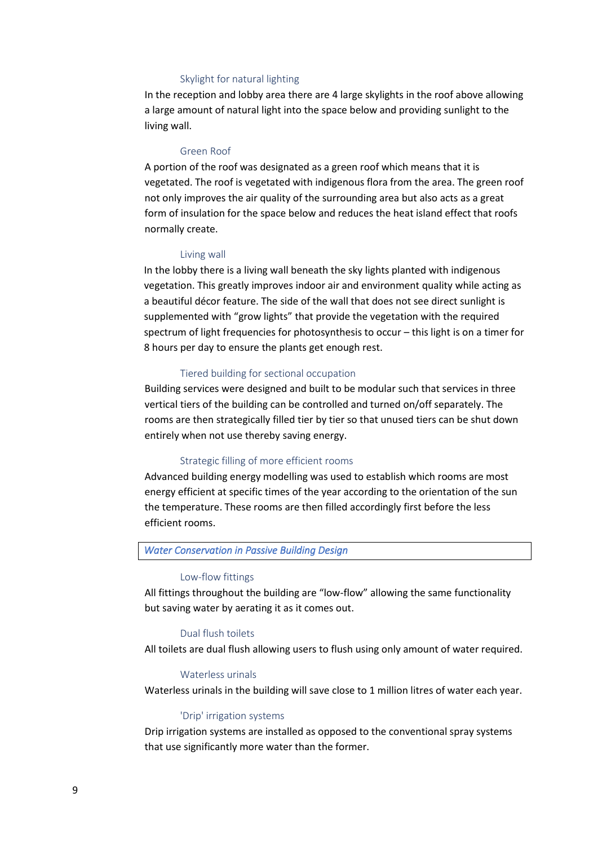## Skylight for natural lighting

In the reception and lobby area there are 4 large skylights in the roof above allowing a large amount of natural light into the space below and providing sunlight to the living wall.

### Green Roof

A portion of the roof was designated as a green roof which means that it is vegetated. The roof is vegetated with indigenous flora from the area. The green roof not only improves the air quality of the surrounding area but also acts as a great form of insulation for the space below and reduces the heat island effect that roofs normally create.

#### Living wall

In the lobby there is a living wall beneath the sky lights planted with indigenous vegetation. This greatly improves indoor air and environment quality while acting as a beautiful décor feature. The side of the wall that does not see direct sunlight is supplemented with "grow lights" that provide the vegetation with the required spectrum of light frequencies for photosynthesis to occur – this light is on a timer for 8 hours per day to ensure the plants get enough rest.

### Tiered building for sectional occupation

Building services were designed and built to be modular such that services in three vertical tiers of the building can be controlled and turned on/off separately. The rooms are then strategically filled tier by tier so that unused tiers can be shut down entirely when not use thereby saving energy.

### Strategic filling of more efficient rooms

Advanced building energy modelling was used to establish which rooms are most energy efficient at specific times of the year according to the orientation of the sun the temperature. These rooms are then filled accordingly first before the less efficient rooms.

## *Water Conservation in Passive Building Design*

#### Low-flow fittings

All fittings throughout the building are "low-flow" allowing the same functionality but saving water by aerating it as it comes out.

#### Dual flush toilets

All toilets are dual flush allowing users to flush using only amount of water required.

### Waterless urinals

Waterless urinals in the building will save close to 1 million litres of water each year.

#### 'Drip' irrigation systems

Drip irrigation systems are installed as opposed to the conventional spray systems that use significantly more water than the former.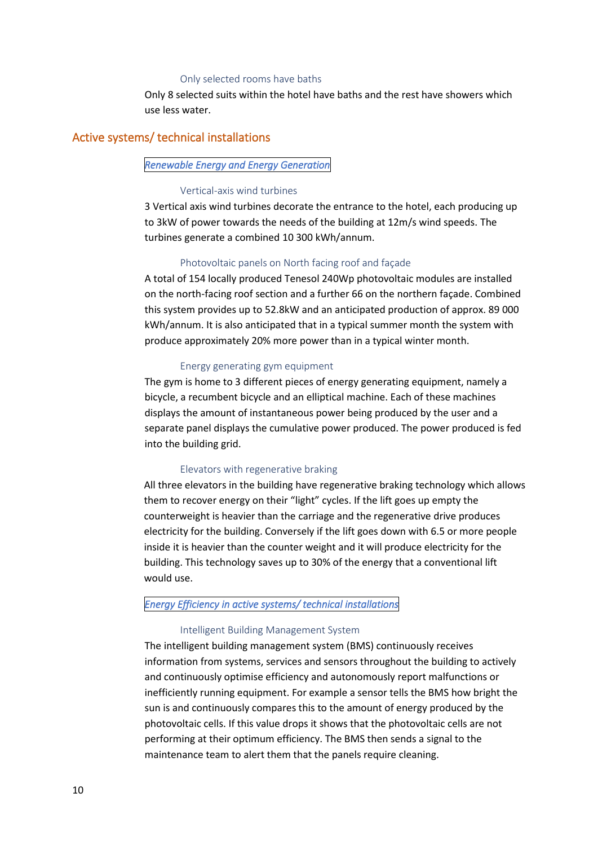#### Only selected rooms have baths

Only 8 selected suits within the hotel have baths and the rest have showers which use less water.

## Active systems/ technical installations

## *Renewable Energy and Energy Generation*

### Vertical-axis wind turbines

3 Vertical axis wind turbines decorate the entrance to the hotel, each producing up to 3kW of power towards the needs of the building at 12m/s wind speeds. The turbines generate a combined 10 300 kWh/annum.

### Photovoltaic panels on North facing roof and façade

A total of 154 locally produced Tenesol 240Wp photovoltaic modules are installed on the north-facing roof section and a further 66 on the northern façade. Combined this system provides up to 52.8kW and an anticipated production of approx. 89 000 kWh/annum. It is also anticipated that in a typical summer month the system with produce approximately 20% more power than in a typical winter month.

#### Energy generating gym equipment

The gym is home to 3 different pieces of energy generating equipment, namely a bicycle, a recumbent bicycle and an elliptical machine. Each of these machines displays the amount of instantaneous power being produced by the user and a separate panel displays the cumulative power produced. The power produced is fed into the building grid.

### Elevators with regenerative braking

All three elevators in the building have regenerative braking technology which allows them to recover energy on their "light" cycles. If the lift goes up empty the counterweight is heavier than the carriage and the regenerative drive produces electricity for the building. Conversely if the lift goes down with 6.5 or more people inside it is heavier than the counter weight and it will produce electricity for the building. This technology saves up to 30% of the energy that a conventional lift would use.

## *Energy Efficiency in active systems/ technical installations*

## Intelligent Building Management System

The intelligent building management system (BMS) continuously receives information from systems, services and sensors throughout the building to actively and continuously optimise efficiency and autonomously report malfunctions or inefficiently running equipment. For example a sensor tells the BMS how bright the sun is and continuously compares this to the amount of energy produced by the photovoltaic cells. If this value drops it shows that the photovoltaic cells are not performing at their optimum efficiency. The BMS then sends a signal to the maintenance team to alert them that the panels require cleaning.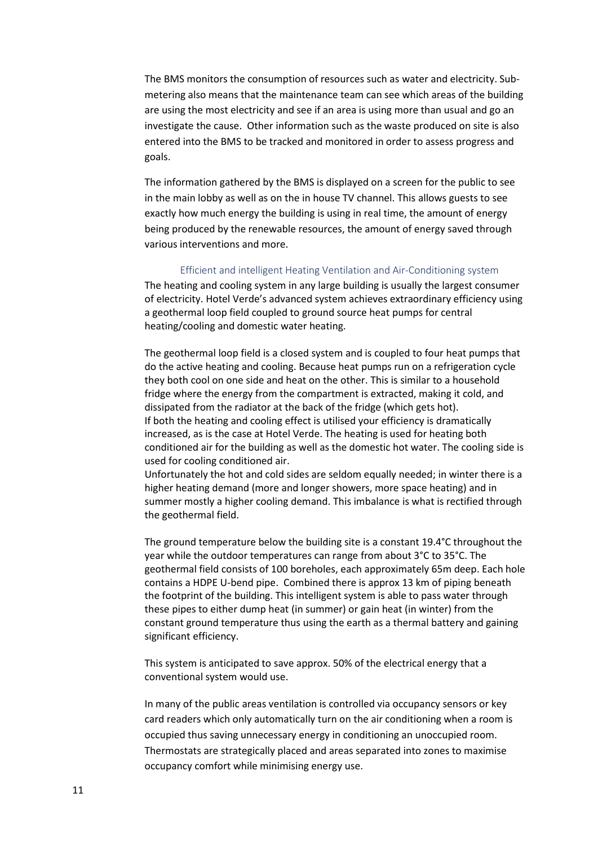The BMS monitors the consumption of resources such as water and electricity. Submetering also means that the maintenance team can see which areas of the building are using the most electricity and see if an area is using more than usual and go an investigate the cause. Other information such as the waste produced on site is also entered into the BMS to be tracked and monitored in order to assess progress and goals.

The information gathered by the BMS is displayed on a screen for the public to see in the main lobby as well as on the in house TV channel. This allows guests to see exactly how much energy the building is using in real time, the amount of energy being produced by the renewable resources, the amount of energy saved through various interventions and more.

### Efficient and intelligent Heating Ventilation and Air-Conditioning system

The heating and cooling system in any large building is usually the largest consumer of electricity. Hotel Verde's advanced system achieves extraordinary efficiency using a geothermal loop field coupled to ground source heat pumps for central heating/cooling and domestic water heating.

The geothermal loop field is a closed system and is coupled to four heat pumps that do the active heating and cooling. Because heat pumps run on a refrigeration cycle they both cool on one side and heat on the other. This is similar to a household fridge where the energy from the compartment is extracted, making it cold, and dissipated from the radiator at the back of the fridge (which gets hot). If both the heating and cooling effect is utilised your efficiency is dramatically increased, as is the case at Hotel Verde. The heating is used for heating both conditioned air for the building as well as the domestic hot water. The cooling side is used for cooling conditioned air.

Unfortunately the hot and cold sides are seldom equally needed; in winter there is a higher heating demand (more and longer showers, more space heating) and in summer mostly a higher cooling demand. This imbalance is what is rectified through the geothermal field.

The ground temperature below the building site is a constant 19.4°C throughout the year while the outdoor temperatures can range from about 3°C to 35°C. The geothermal field consists of 100 boreholes, each approximately 65m deep. Each hole contains a HDPE U-bend pipe. Combined there is approx 13 km of piping beneath the footprint of the building. This intelligent system is able to pass water through these pipes to either dump heat (in summer) or gain heat (in winter) from the constant ground temperature thus using the earth as a thermal battery and gaining significant efficiency.

This system is anticipated to save approx. 50% of the electrical energy that a conventional system would use.

In many of the public areas ventilation is controlled via occupancy sensors or key card readers which only automatically turn on the air conditioning when a room is occupied thus saving unnecessary energy in conditioning an unoccupied room. Thermostats are strategically placed and areas separated into zones to maximise occupancy comfort while minimising energy use.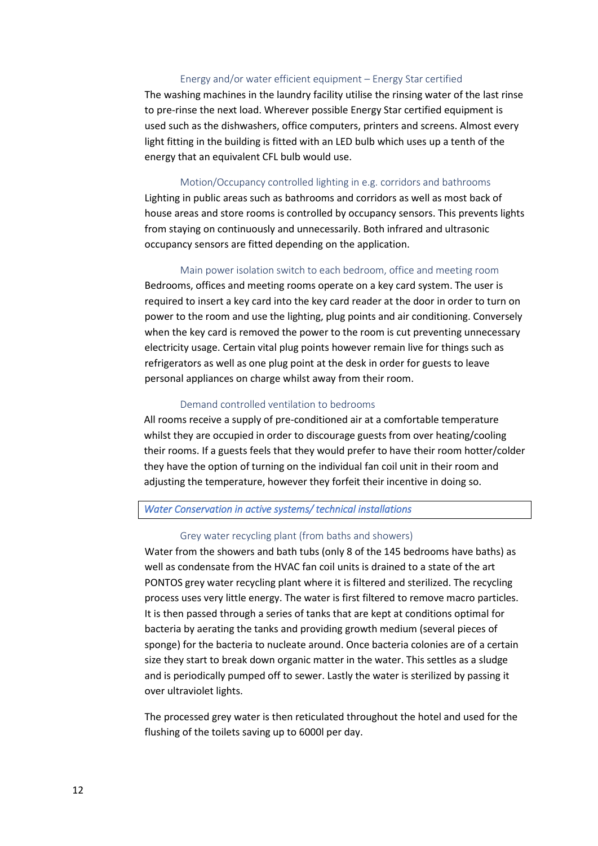## Energy and/or water efficient equipment – Energy Star certified

The washing machines in the laundry facility utilise the rinsing water of the last rinse to pre-rinse the next load. Wherever possible Energy Star certified equipment is used such as the dishwashers, office computers, printers and screens. Almost every light fitting in the building is fitted with an LED bulb which uses up a tenth of the energy that an equivalent CFL bulb would use.

### Motion/Occupancy controlled lighting in e.g. corridors and bathrooms

Lighting in public areas such as bathrooms and corridors as well as most back of house areas and store rooms is controlled by occupancy sensors. This prevents lights from staying on continuously and unnecessarily. Both infrared and ultrasonic occupancy sensors are fitted depending on the application.

#### Main power isolation switch to each bedroom, office and meeting room

Bedrooms, offices and meeting rooms operate on a key card system. The user is required to insert a key card into the key card reader at the door in order to turn on power to the room and use the lighting, plug points and air conditioning. Conversely when the key card is removed the power to the room is cut preventing unnecessary electricity usage. Certain vital plug points however remain live for things such as refrigerators as well as one plug point at the desk in order for guests to leave personal appliances on charge whilst away from their room.

## Demand controlled ventilation to bedrooms

All rooms receive a supply of pre-conditioned air at a comfortable temperature whilst they are occupied in order to discourage guests from over heating/cooling their rooms. If a guests feels that they would prefer to have their room hotter/colder they have the option of turning on the individual fan coil unit in their room and adjusting the temperature, however they forfeit their incentive in doing so.

#### *Water Conservation in active systems/ technical installations*

#### Grey water recycling plant (from baths and showers)

Water from the showers and bath tubs (only 8 of the 145 bedrooms have baths) as well as condensate from the HVAC fan coil units is drained to a state of the art PONTOS grey water recycling plant where it is filtered and sterilized. The recycling process uses very little energy. The water is first filtered to remove macro particles. It is then passed through a series of tanks that are kept at conditions optimal for bacteria by aerating the tanks and providing growth medium (several pieces of sponge) for the bacteria to nucleate around. Once bacteria colonies are of a certain size they start to break down organic matter in the water. This settles as a sludge and is periodically pumped off to sewer. Lastly the water is sterilized by passing it over ultraviolet lights.

The processed grey water is then reticulated throughout the hotel and used for the flushing of the toilets saving up to 6000l per day.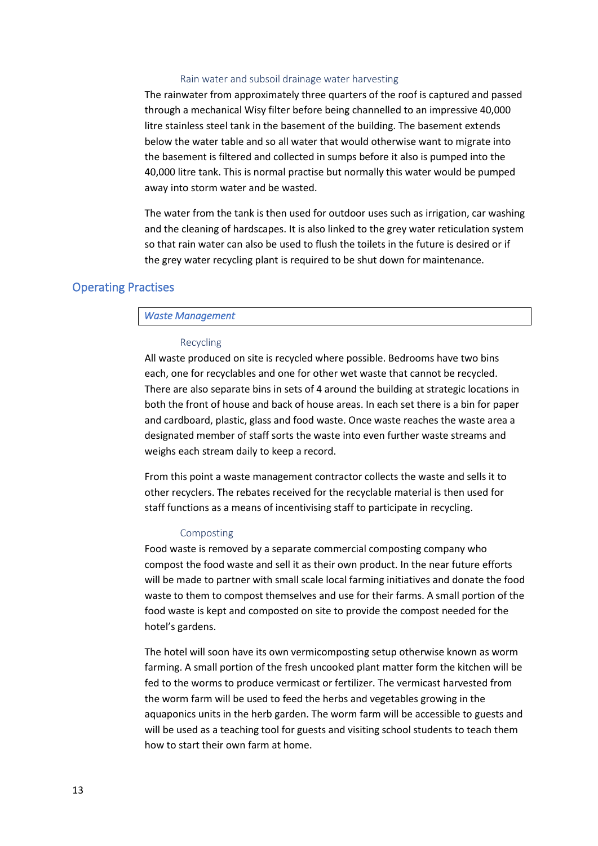## Rain water and subsoil drainage water harvesting

The rainwater from approximately three quarters of the roof is captured and passed through a mechanical Wisy filter before being channelled to an impressive 40,000 litre stainless steel tank in the basement of the building. The basement extends below the water table and so all water that would otherwise want to migrate into the basement is filtered and collected in sumps before it also is pumped into the 40,000 litre tank. This is normal practise but normally this water would be pumped away into storm water and be wasted.

The water from the tank is then used for outdoor uses such as irrigation, car washing and the cleaning of hardscapes. It is also linked to the grey water reticulation system so that rain water can also be used to flush the toilets in the future is desired or if the grey water recycling plant is required to be shut down for maintenance.

## Operating Practises

### *Waste Management*

#### Recycling

All waste produced on site is recycled where possible. Bedrooms have two bins each, one for recyclables and one for other wet waste that cannot be recycled. There are also separate bins in sets of 4 around the building at strategic locations in both the front of house and back of house areas. In each set there is a bin for paper and cardboard, plastic, glass and food waste. Once waste reaches the waste area a designated member of staff sorts the waste into even further waste streams and weighs each stream daily to keep a record.

From this point a waste management contractor collects the waste and sells it to other recyclers. The rebates received for the recyclable material is then used for staff functions as a means of incentivising staff to participate in recycling.

### Composting

Food waste is removed by a separate commercial composting company who compost the food waste and sell it as their own product. In the near future efforts will be made to partner with small scale local farming initiatives and donate the food waste to them to compost themselves and use for their farms. A small portion of the food waste is kept and composted on site to provide the compost needed for the hotel's gardens.

The hotel will soon have its own vermicomposting setup otherwise known as worm farming. A small portion of the fresh uncooked plant matter form the kitchen will be fed to the worms to produce vermicast or fertilizer. The vermicast harvested from the worm farm will be used to feed the herbs and vegetables growing in the aquaponics units in the herb garden. The worm farm will be accessible to guests and will be used as a teaching tool for guests and visiting school students to teach them how to start their own farm at home.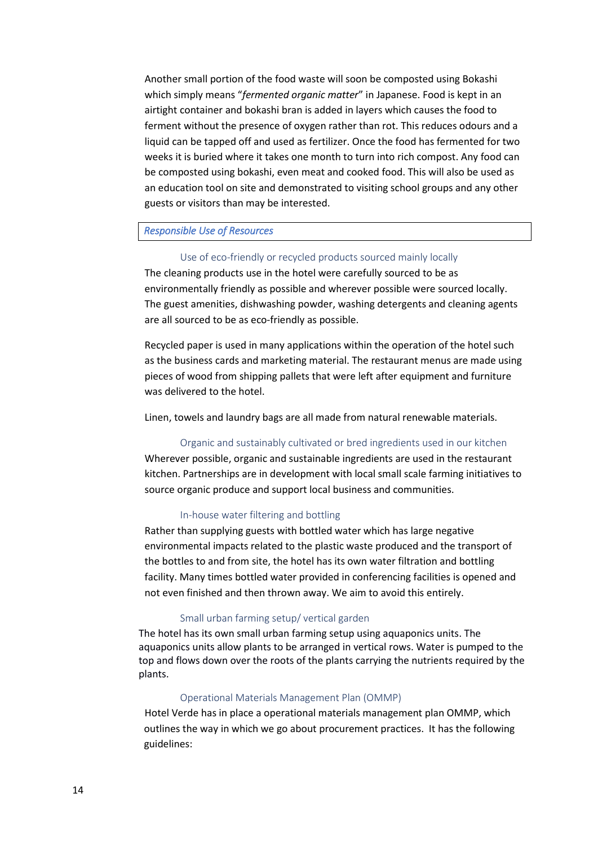Another small portion of the food waste will soon be composted using Bokashi which simply means "*fermented organic matter*" in Japanese. Food is kept in an airtight container and bokashi bran is added in layers which causes the food to ferment without the presence of oxygen rather than rot. This reduces odours and a liquid can be tapped off and used as fertilizer. Once the food has fermented for two weeks it is buried where it takes one month to turn into rich compost. Any food can be composted using bokashi, even meat and cooked food. This will also be used as an education tool on site and demonstrated to visiting school groups and any other guests or visitors than may be interested.

## *Responsible Use of Resources*

## Use of eco-friendly or recycled products sourced mainly locally

The cleaning products use in the hotel were carefully sourced to be as environmentally friendly as possible and wherever possible were sourced locally. The guest amenities, dishwashing powder, washing detergents and cleaning agents are all sourced to be as eco-friendly as possible.

Recycled paper is used in many applications within the operation of the hotel such as the business cards and marketing material. The restaurant menus are made using pieces of wood from shipping pallets that were left after equipment and furniture was delivered to the hotel.

Linen, towels and laundry bags are all made from natural renewable materials.

#### Organic and sustainably cultivated or bred ingredients used in our kitchen

Wherever possible, organic and sustainable ingredients are used in the restaurant kitchen. Partnerships are in development with local small scale farming initiatives to source organic produce and support local business and communities.

## In-house water filtering and bottling

Rather than supplying guests with bottled water which has large negative environmental impacts related to the plastic waste produced and the transport of the bottles to and from site, the hotel has its own water filtration and bottling facility. Many times bottled water provided in conferencing facilities is opened and not even finished and then thrown away. We aim to avoid this entirely.

#### Small urban farming setup/ vertical garden

The hotel has its own small urban farming setup using aquaponics units. The aquaponics units allow plants to be arranged in vertical rows. Water is pumped to the top and flows down over the roots of the plants carrying the nutrients required by the plants.

## Operational Materials Management Plan (OMMP)

Hotel Verde has in place a operational materials management plan OMMP, which outlines the way in which we go about procurement practices. It has the following guidelines: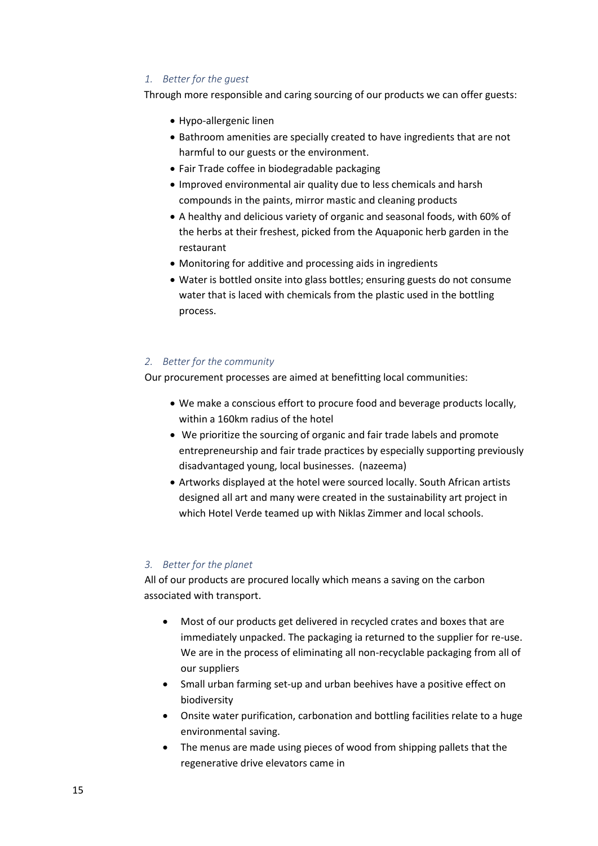## *1. Better for the guest*

Through more responsible and caring sourcing of our products we can offer guests:

- Hypo-allergenic linen
- Bathroom amenities are specially created to have ingredients that are not harmful to our guests or the environment.
- Fair Trade coffee in biodegradable packaging
- Improved environmental air quality due to less chemicals and harsh compounds in the paints, mirror mastic and cleaning products
- A healthy and delicious variety of organic and seasonal foods, with 60% of the herbs at their freshest, picked from the Aquaponic herb garden in the restaurant
- Monitoring for additive and processing aids in ingredients
- Water is bottled onsite into glass bottles; ensuring guests do not consume water that is laced with chemicals from the plastic used in the bottling process.

## *2. Better for the community*

Our procurement processes are aimed at benefitting local communities:

- We make a conscious effort to procure food and beverage products locally, within a 160km radius of the hotel
- We prioritize the sourcing of organic and fair trade labels and promote entrepreneurship and fair trade practices by especially supporting previously disadvantaged young, local businesses. (nazeema)
- Artworks displayed at the hotel were sourced locally. South African artists designed all art and many were created in the sustainability art project in which Hotel Verde teamed up with Niklas Zimmer and local schools.

## *3. Better for the planet*

All of our products are procured locally which means a saving on the carbon associated with transport.

- Most of our products get delivered in recycled crates and boxes that are immediately unpacked. The packaging ia returned to the supplier for re-use. We are in the process of eliminating all non-recyclable packaging from all of our suppliers
- Small urban farming set-up and urban beehives have a positive effect on biodiversity
- Onsite water purification, carbonation and bottling facilities relate to a huge environmental saving.
- The menus are made using pieces of wood from shipping pallets that the regenerative drive elevators came in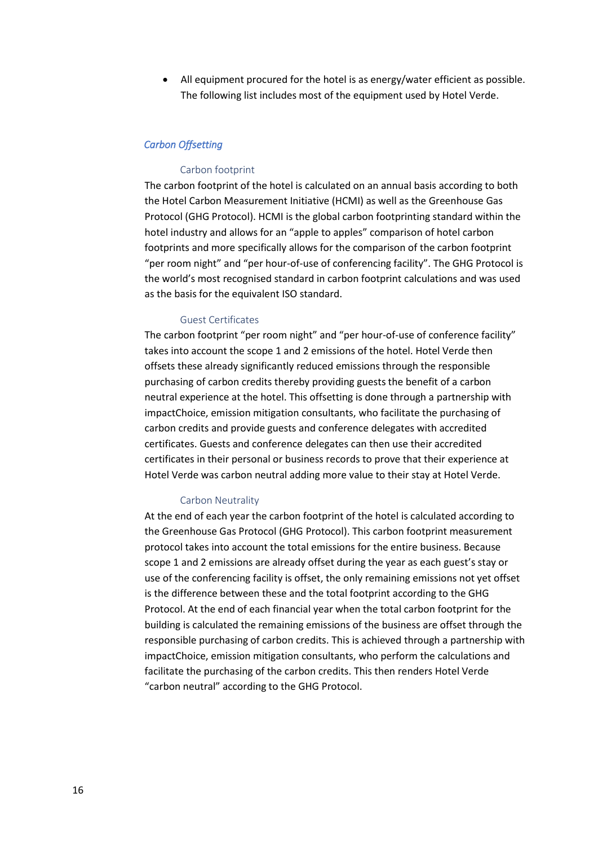• All equipment procured for the hotel is as energy/water efficient as possible. The following list includes most of the equipment used by Hotel Verde.

## *Carbon Offsetting*

## Carbon footprint

The carbon footprint of the hotel is calculated on an annual basis according to both the Hotel Carbon Measurement Initiative (HCMI) as well as the Greenhouse Gas Protocol (GHG Protocol). HCMI is the global carbon footprinting standard within the hotel industry and allows for an "apple to apples" comparison of hotel carbon footprints and more specifically allows for the comparison of the carbon footprint "per room night" and "per hour-of-use of conferencing facility". The GHG Protocol is the world's most recognised standard in carbon footprint calculations and was used as the basis for the equivalent ISO standard.

#### Guest Certificates

The carbon footprint "per room night" and "per hour-of-use of conference facility" takes into account the scope 1 and 2 emissions of the hotel. Hotel Verde then offsets these already significantly reduced emissions through the responsible purchasing of carbon credits thereby providing guests the benefit of a carbon neutral experience at the hotel. This offsetting is done through a partnership with impactChoice, emission mitigation consultants, who facilitate the purchasing of carbon credits and provide guests and conference delegates with accredited certificates. Guests and conference delegates can then use their accredited certificates in their personal or business records to prove that their experience at Hotel Verde was carbon neutral adding more value to their stay at Hotel Verde.

#### Carbon Neutrality

At the end of each year the carbon footprint of the hotel is calculated according to the Greenhouse Gas Protocol (GHG Protocol). This carbon footprint measurement protocol takes into account the total emissions for the entire business. Because scope 1 and 2 emissions are already offset during the year as each guest's stay or use of the conferencing facility is offset, the only remaining emissions not yet offset is the difference between these and the total footprint according to the GHG Protocol. At the end of each financial year when the total carbon footprint for the building is calculated the remaining emissions of the business are offset through the responsible purchasing of carbon credits. This is achieved through a partnership with impactChoice, emission mitigation consultants, who perform the calculations and facilitate the purchasing of the carbon credits. This then renders Hotel Verde "carbon neutral" according to the GHG Protocol.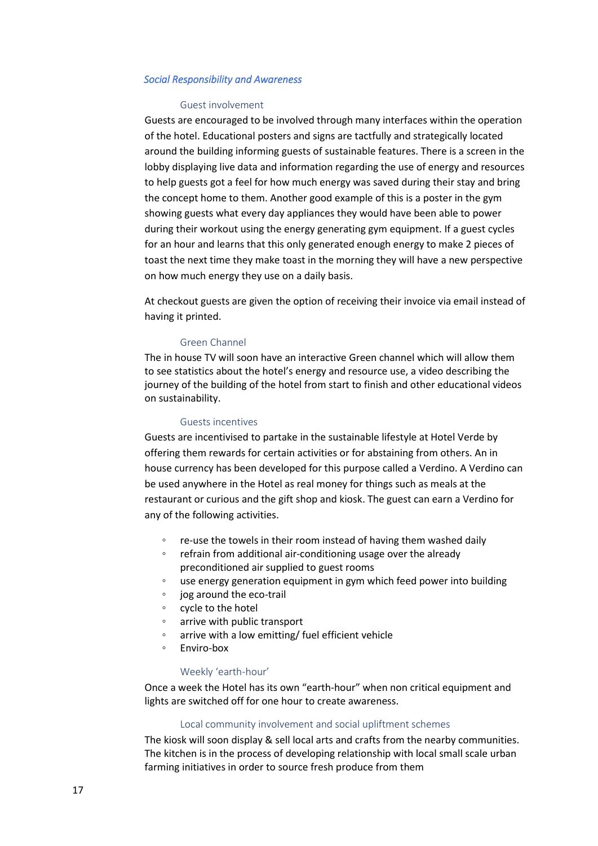### <span id="page-16-0"></span>*Social Responsibility and Awareness*

### Guest involvement

Guests are encouraged to be involved through many interfaces within the operation of the hotel. Educational posters and signs are tactfully and strategically located around the building informing guests of sustainable features. There is a screen in the lobby displaying live data and information regarding the use of energy and resources to help guests got a feel for how much energy was saved during their stay and bring the concept home to them. Another good example of this is a poster in the gym showing guests what every day appliances they would have been able to power during their workout using the energy generating gym equipment. If a guest cycles for an hour and learns that this only generated enough energy to make 2 pieces of toast the next time they make toast in the morning they will have a new perspective on how much energy they use on a daily basis.

At checkout guests are given the option of receiving their invoice via email instead of having it printed.

### Green Channel

The in house TV will soon have an interactive Green channel which will allow them to see statistics about the hotel's energy and resource use, a video describing the journey of the building of the hotel from start to finish and other educational videos on sustainability.

#### Guests incentives

Guests are incentivised to partake in the sustainable lifestyle at Hotel Verde by offering them rewards for certain activities or for abstaining from others. An in house currency has been developed for this purpose called a Verdino. A Verdino can be used anywhere in the Hotel as real money for things such as meals at the restaurant or curious and the gift shop and kiosk. The guest can earn a Verdino for any of the following activities.

- re-use the towels in their room instead of having them washed daily
- refrain from additional air-conditioning usage over the already preconditioned air supplied to guest rooms
- use energy generation equipment in gym which feed power into building
- jog around the eco-trail
- cycle to the hotel
- arrive with public transport
- arrive with a low emitting/ fuel efficient vehicle
- Enviro-box

#### Weekly 'earth-hour'

Once a week the Hotel has its own "earth-hour" when non critical equipment and lights are switched off for one hour to create awareness.

### Local community involvement and social upliftment schemes

The kiosk will soon display & sell local arts and crafts from the nearby communities. The kitchen is in the process of developing relationship with local small scale urban farming initiatives in order to source fresh produce from them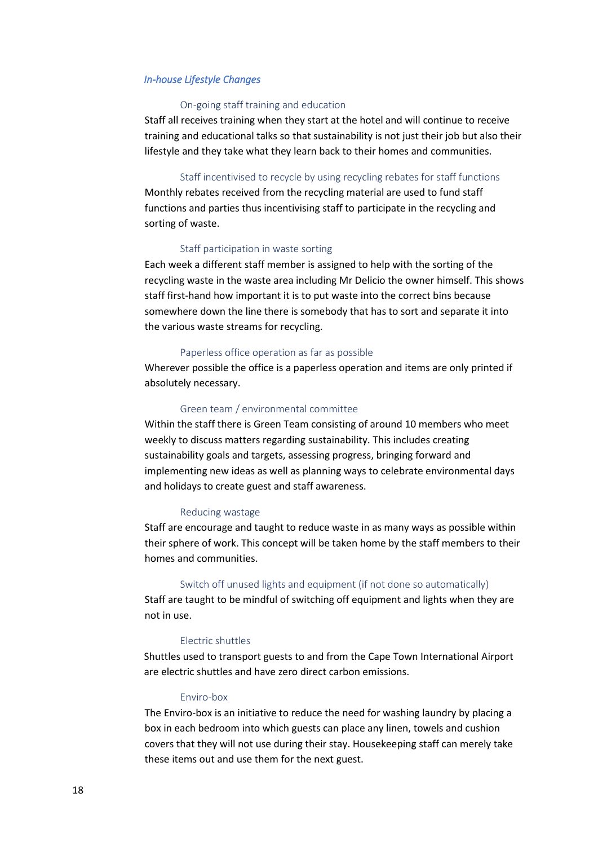## <span id="page-17-0"></span>*In-house Lifestyle Changes*

## On-going staff training and education

Staff all receives training when they start at the hotel and will continue to receive training and educational talks so that sustainability is not just their job but also their lifestyle and they take what they learn back to their homes and communities.

#### Staff incentivised to recycle by using recycling rebates for staff functions

Monthly rebates received from the recycling material are used to fund staff functions and parties thus incentivising staff to participate in the recycling and sorting of waste.

### Staff participation in waste sorting

Each week a different staff member is assigned to help with the sorting of the recycling waste in the waste area including Mr Delicio the owner himself. This shows staff first-hand how important it is to put waste into the correct bins because somewhere down the line there is somebody that has to sort and separate it into the various waste streams for recycling.

#### Paperless office operation as far as possible

Wherever possible the office is a paperless operation and items are only printed if absolutely necessary.

#### Green team / environmental committee

Within the staff there is Green Team consisting of around 10 members who meet weekly to discuss matters regarding sustainability. This includes creating sustainability goals and targets, assessing progress, bringing forward and implementing new ideas as well as planning ways to celebrate environmental days and holidays to create guest and staff awareness.

### Reducing wastage

Staff are encourage and taught to reduce waste in as many ways as possible within their sphere of work. This concept will be taken home by the staff members to their homes and communities.

#### Switch off unused lights and equipment (if not done so automatically)

Staff are taught to be mindful of switching off equipment and lights when they are not in use.

### Electric shuttles

Shuttles used to transport guests to and from the Cape Town International Airport are electric shuttles and have zero direct carbon emissions.

#### Enviro-box

The Enviro-box is an initiative to reduce the need for washing laundry by placing a box in each bedroom into which guests can place any linen, towels and cushion covers that they will not use during their stay. Housekeeping staff can merely take these items out and use them for the next guest.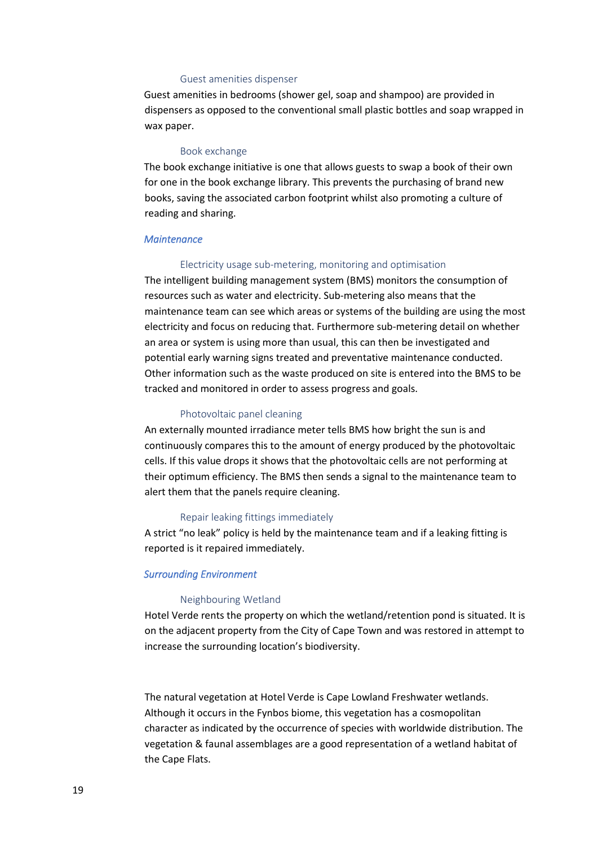## Guest amenities dispenser

Guest amenities in bedrooms (shower gel, soap and shampoo) are provided in dispensers as opposed to the conventional small plastic bottles and soap wrapped in wax paper.

### Book exchange

The book exchange initiative is one that allows guests to swap a book of their own for one in the book exchange library. This prevents the purchasing of brand new books, saving the associated carbon footprint whilst also promoting a culture of reading and sharing.

#### <span id="page-18-0"></span>*Maintenance*

#### Electricity usage sub-metering, monitoring and optimisation

The intelligent building management system (BMS) monitors the consumption of resources such as water and electricity. Sub-metering also means that the maintenance team can see which areas or systems of the building are using the most electricity and focus on reducing that. Furthermore sub-metering detail on whether an area or system is using more than usual, this can then be investigated and potential early warning signs treated and preventative maintenance conducted. Other information such as the waste produced on site is entered into the BMS to be tracked and monitored in order to assess progress and goals.

### Photovoltaic panel cleaning

An externally mounted irradiance meter tells BMS how bright the sun is and continuously compares this to the amount of energy produced by the photovoltaic cells. If this value drops it shows that the photovoltaic cells are not performing at their optimum efficiency. The BMS then sends a signal to the maintenance team to alert them that the panels require cleaning.

#### Repair leaking fittings immediately

A strict "no leak" policy is held by the maintenance team and if a leaking fitting is reported is it repaired immediately.

### *Surrounding Environment*

#### Neighbouring Wetland

Hotel Verde rents the property on which the wetland/retention pond is situated. It is on the adjacent property from the City of Cape Town and was restored in attempt to increase the surrounding location's biodiversity.

The natural vegetation at Hotel Verde is Cape Lowland Freshwater wetlands. Although it occurs in the Fynbos biome, this vegetation has a cosmopolitan character as indicated by the occurrence of species with worldwide distribution. The vegetation & faunal assemblages are a good representation of a wetland habitat of the Cape Flats.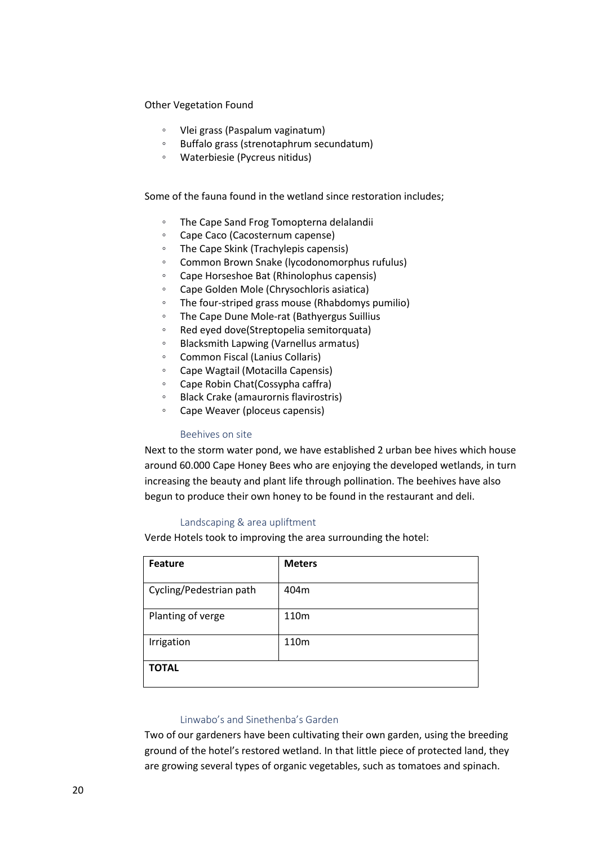Other Vegetation Found

- Vlei grass (Paspalum vaginatum)
- Buffalo grass (strenotaphrum secundatum)
- Waterbiesie (Pycreus nitidus)

Some of the fauna found in the wetland since restoration includes;

- The Cape Sand Frog Tomopterna delalandii
- Cape Caco (Cacosternum capense)
- The Cape Skink (Trachylepis capensis)
- Common Brown Snake (lycodonomorphus rufulus)
- Cape Horseshoe Bat (Rhinolophus capensis)
- Cape Golden Mole (Chrysochloris asiatica)
- The four-striped grass mouse (Rhabdomys pumilio)
- The Cape Dune Mole-rat (Bathyergus Suillius
- Red eyed dove(Streptopelia semitorquata)
- Blacksmith Lapwing (Varnellus armatus)
- Common Fiscal (Lanius Collaris)
- Cape Wagtail (Motacilla Capensis)
- Cape Robin Chat(Cossypha caffra)
- Black Crake (amaurornis flavirostris)
- Cape Weaver (ploceus capensis)

### Beehives on site

Next to the storm water pond, we have established 2 urban bee hives which house around 60.000 Cape Honey Bees who are enjoying the developed wetlands, in turn increasing the beauty and plant life through pollination. The beehives have also begun to produce their own honey to be found in the restaurant and deli.

## Landscaping & area upliftment

Verde Hotels took to improving the area surrounding the hotel:

| <b>Feature</b>          | <b>Meters</b> |
|-------------------------|---------------|
| Cycling/Pedestrian path | 404m          |
| Planting of verge       | 110m          |
| Irrigation              | 110m          |
| <b>TOTAL</b>            |               |

## Linwabo's and Sinethenba's Garden

Two of our gardeners have been cultivating their own garden, using the breeding ground of the hotel's restored wetland. In that little piece of protected land, they are growing several types of organic vegetables, such as tomatoes and spinach.